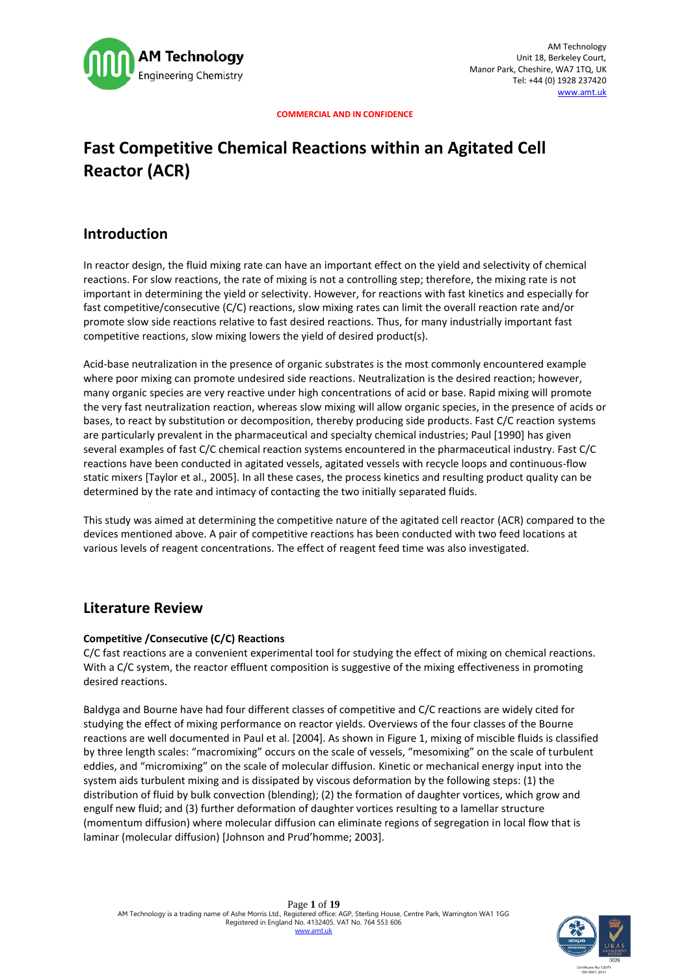

# **Fast Competitive Chemical Reactions within an Agitated Cell Reactor (ACR)**

# **Introduction**

In reactor design, the fluid mixing rate can have an important effect on the yield and selectivity of chemical reactions. For slow reactions, the rate of mixing is not a controlling step; therefore, the mixing rate is not important in determining the yield or selectivity. However, for reactions with fast kinetics and especially for fast competitive/consecutive (C/C) reactions, slow mixing rates can limit the overall reaction rate and/or promote slow side reactions relative to fast desired reactions. Thus, for many industrially important fast competitive reactions, slow mixing lowers the yield of desired product(s).

Acid-base neutralization in the presence of organic substrates is the most commonly encountered example where poor mixing can promote undesired side reactions. Neutralization is the desired reaction; however, many organic species are very reactive under high concentrations of acid or base. Rapid mixing will promote the very fast neutralization reaction, whereas slow mixing will allow organic species, in the presence of acids or bases, to react by substitution or decomposition, thereby producing side products. Fast C/C reaction systems are particularly prevalent in the pharmaceutical and specialty chemical industries; Paul [1990] has given several examples of fast C/C chemical reaction systems encountered in the pharmaceutical industry. Fast C/C reactions have been conducted in agitated vessels, agitated vessels with recycle loops and continuous-flow static mixers [Taylor et al., 2005]. In all these cases, the process kinetics and resulting product quality can be determined by the rate and intimacy of contacting the two initially separated fluids.

This study was aimed at determining the competitive nature of the agitated cell reactor (ACR) compared to the devices mentioned above. A pair of competitive reactions has been conducted with two feed locations at various levels of reagent concentrations. The effect of reagent feed time was also investigated.

# **Literature Review**

### **Competitive /Consecutive (C/C) Reactions**

C/C fast reactions are a convenient experimental tool for studying the effect of mixing on chemical reactions. With a C/C system, the reactor effluent composition is suggestive of the mixing effectiveness in promoting desired reactions.

Baldyga and Bourne have had four different classes of competitive and C/C reactions are widely cited for studying the effect of mixing performance on reactor yields. Overviews of the four classes of the Bourne reactions are well documented in Paul et al. [2004]. As shown in Figure 1, mixing of miscible fluids is classified by three length scales: "macromixing" occurs on the scale of vessels, "mesomixing" on the scale of turbulent eddies, and "micromixing" on the scale of molecular diffusion. Kinetic or mechanical energy input into the system aids turbulent mixing and is dissipated by viscous deformation by the following steps: (1) the distribution of fluid by bulk convection (blending); (2) the formation of daughter vortices, which grow and engulf new fluid; and (3) further deformation of daughter vortices resulting to a lamellar structure (momentum diffusion) where molecular diffusion can eliminate regions of segregation in local flow that is laminar (molecular diffusion) [Johnson and Prud'homme; 2003].

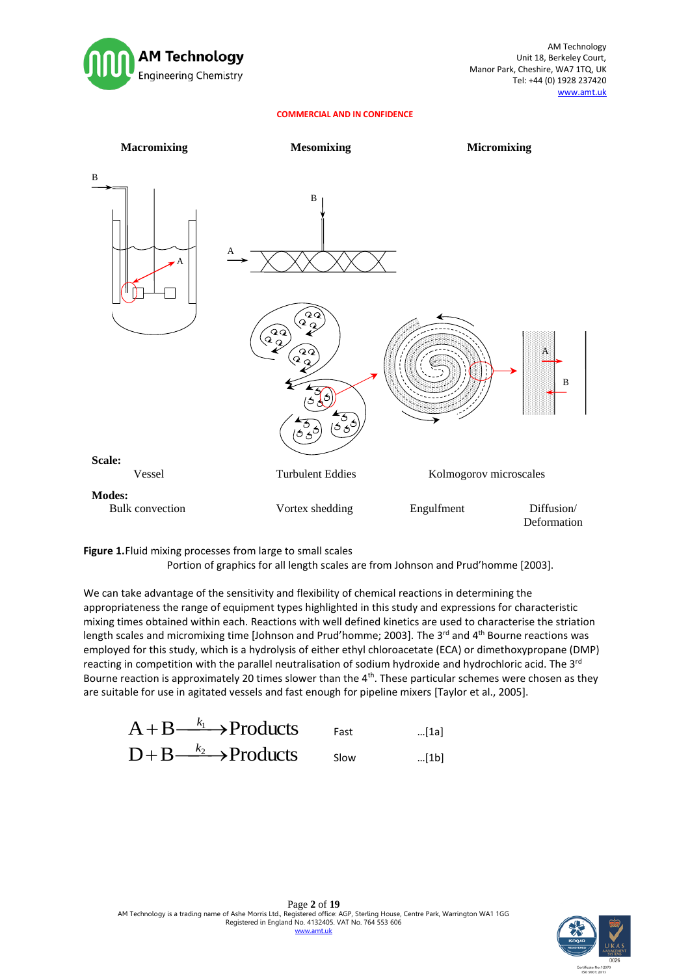



**Figure 1.**Fluid mixing processes from large to small scales

Portion of graphics for all length scales are from Johnson and Prud'homme [2003].

We can take advantage of the sensitivity and flexibility of chemical reactions in determining the appropriateness the range of equipment types highlighted in this study and expressions for characteristic mixing times obtained within each. Reactions with well defined kinetics are used to characterise the striation length scales and micromixing time [Johnson and Prud'homme; 2003]. The 3<sup>rd</sup> and 4<sup>th</sup> Bourne reactions was employed for this study, which is a hydrolysis of either ethyl chloroacetate (ECA) or dimethoxypropane (DMP) reacting in competition with the parallel neutralisation of sodium hydroxide and hydrochloric acid. The 3<sup>rd</sup> Bourne reaction is approximately 20 times slower than the  $4<sup>th</sup>$ . These particular schemes were chosen as they are suitable for use in agitated vessels and fast enough for pipeline mixers [Taylor et al., 2005].



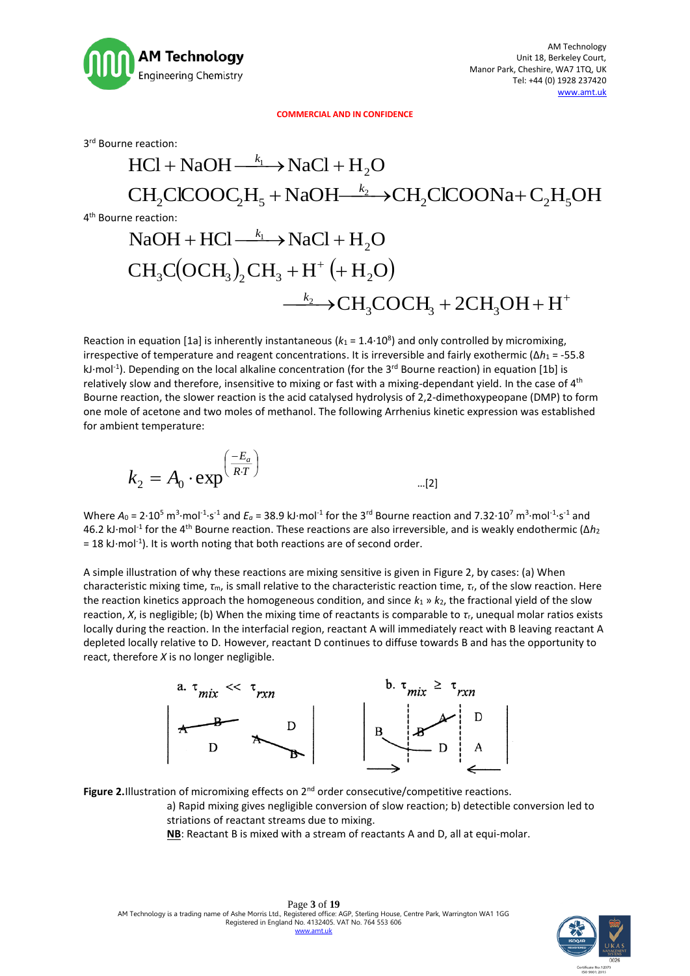

3 rd Bourne reaction:

# $HCl + NaOH \xrightarrow{k_1} NaCl + H_2O$  $CH_2CICOOC_2H_5 + NaOH\longrightarrow CH_2CICOONa+C_2H_5OH$ 4 th Bourne reaction:  $NaOH + HCl \xrightarrow{k_1} NaCl + H_2O$  $\rm CH_3C(OCH_3)_2CH_3 + H^+ \left( + H_2O \right)$  $\longrightarrow$ CH<sub>3</sub>COCH<sub>3</sub> + 2CH<sub>3</sub>OH + H<sup>+</sup>

Reaction in equation [1a] is inherently instantaneous ( $k_1 = 1.4 \cdot 10^8$ ) and only controlled by micromixing, irrespective of temperature and reagent concentrations. It is irreversible and fairly exothermic (Δ*h*<sup>1</sup> = -55.8 kJ·mol<sup>-1</sup>). Depending on the local alkaline concentration (for the 3<sup>rd</sup> Bourne reaction) in equation [1b] is relatively slow and therefore, insensitive to mixing or fast with a mixing-dependant yield. In the case of 4<sup>th</sup> Bourne reaction, the slower reaction is the acid catalysed hydrolysis of 2,2-dimethoxypeopane (DMP) to form one mole of acetone and two moles of methanol. The following Arrhenius kinetic expression was established for ambient temperature:

$$
k_2 = A_0 \cdot \exp^{\left(\frac{-E_a}{RT}\right)}
$$
...(2)

Where  $A_0 = 2.10^5$  m<sup>3</sup>·mol<sup>-1</sup>·s<sup>-1</sup> and  $E_a = 38.9$  kJ·mol<sup>-1</sup> for the 3<sup>rd</sup> Bourne reaction and 7.32·10<sup>7</sup> m<sup>3</sup>·mol<sup>-1</sup>·s<sup>-1</sup> and 46.2 kJ·mol<sup>-1</sup> for the 4<sup>th</sup> Bourne reaction. These reactions are also irreversible, and is weakly endothermic (Δ*h*<sub>2</sub>  $= 18$  kJ $\cdot$ mol<sup>-1</sup>). It is worth noting that both reactions are of second order.

A simple illustration of why these reactions are mixing sensitive is given in Figure 2, by cases: (a) When characteristic mixing time, *τ*m, is small relative to the characteristic reaction time, *τ*r, of the slow reaction. Here the reaction kinetics approach the homogeneous condition, and since *k*<sup>1</sup> » *k*2, the fractional yield of the slow reaction, *X*, is negligible; (b) When the mixing time of reactants is comparable to *τ*r, unequal molar ratios exists locally during the reaction. In the interfacial region, reactant A will immediately react with B leaving reactant A depleted locally relative to D. However, reactant D continues to diffuse towards B and has the opportunity to react, therefore *X* is no longer negligible.



Figure 2.Illustration of micromixing effects on 2<sup>nd</sup> order consecutive/competitive reactions.

a) Rapid mixing gives negligible conversion of slow reaction; b) detectible conversion led to striations of reactant streams due to mixing.

**NB**: Reactant B is mixed with a stream of reactants A and D, all at equi-molar.

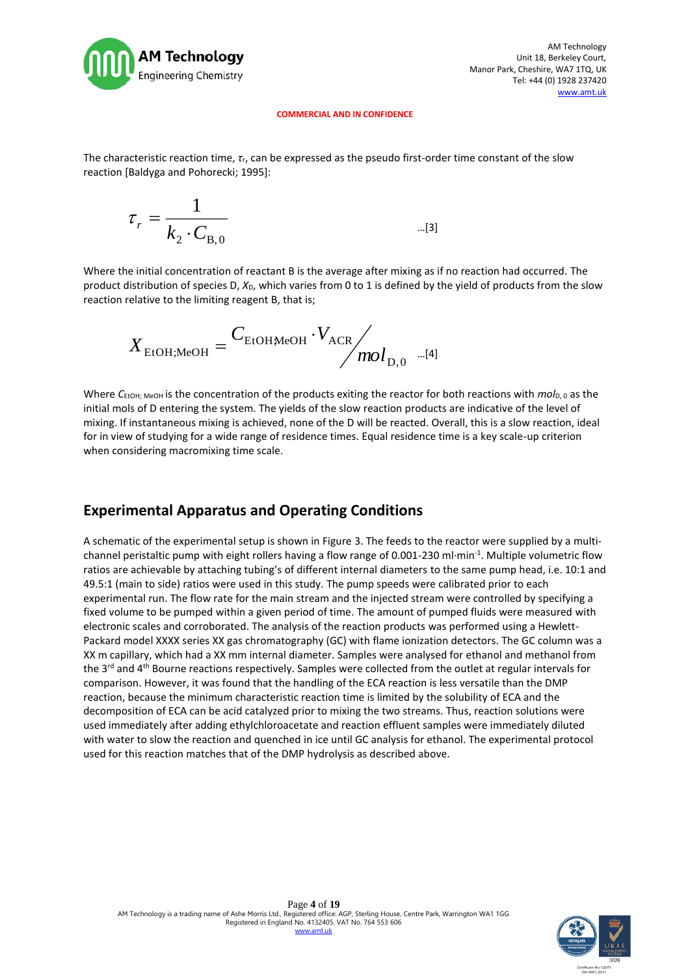

The characteristic reaction time, *τ*r, can be expressed as the pseudo first-order time constant of the slow reaction [Baldyga and Pohorecki; 1995]:

$$
\tau_r = \frac{1}{k_2 \cdot C_{\text{B},0}} \tag{3}
$$

Where the initial concentration of reactant B is the average after mixing as if no reaction had occurred. The product distribution of species D,  $X_D$ , which varies from 0 to 1 is defined by the yield of products from the slow reaction relative to the limiting reagent B, that is;

$$
X_{\text{EtOH;MeOH}} = \frac{C_{\text{EtOHMeOH}} \cdot V_{\text{ACR}}}{mol_{\text{D},0}}
$$
 ... [4]

Where C<sub>EtOH; MeOH</sub> is the concentration of the products exiting the reactor for both reactions with  $mol_{D,0}$  as the initial mols of D entering the system. The yields of the slow reaction products are indicative of the level of mixing. If instantaneous mixing is achieved, none of the D will be reacted. Overall, this is a slow reaction, ideal for in view of studying for a wide range of residence times. Equal residence time is a key scale-up criterion when considering macromixing time scale.

# **Experimental Apparatus and Operating Conditions**

A schematic of the experimental setup is shown in Figure 3. The feeds to the reactor were supplied by a multichannel peristaltic pump with eight rollers having a flow range of 0.001-230 ml·min<sup>-1</sup>. Multiple volumetric flow ratios are achievable by attaching tubing's of different internal diameters to the same pump head, i.e. 10:1 and 49.5:1 (main to side) ratios were used in this study. The pump speeds were calibrated prior to each experimental run. The flow rate for the main stream and the injected stream were controlled by specifying a fixed volume to be pumped within a given period of time. The amount of pumped fluids were measured with electronic scales and corroborated. The analysis of the reaction products was performed using a Hewlett-Packard model XXXX series XX gas chromatography (GC) with flame ionization detectors. The GC column was a XX m capillary, which had a XX mm internal diameter. Samples were analysed for ethanol and methanol from the 3<sup>rd</sup> and 4<sup>th</sup> Bourne reactions respectively. Samples were collected from the outlet at regular intervals for comparison. However, it was found that the handling of the ECA reaction is less versatile than the DMP reaction, because the minimum characteristic reaction time is limited by the solubility of ECA and the decomposition of ECA can be acid catalyzed prior to mixing the two streams. Thus, reaction solutions were used immediately after adding ethylchloroacetate and reaction effluent samples were immediately diluted with water to slow the reaction and quenched in ice until GC analysis for ethanol. The experimental protocol used for this reaction matches that of the DMP hydrolysis as described above.

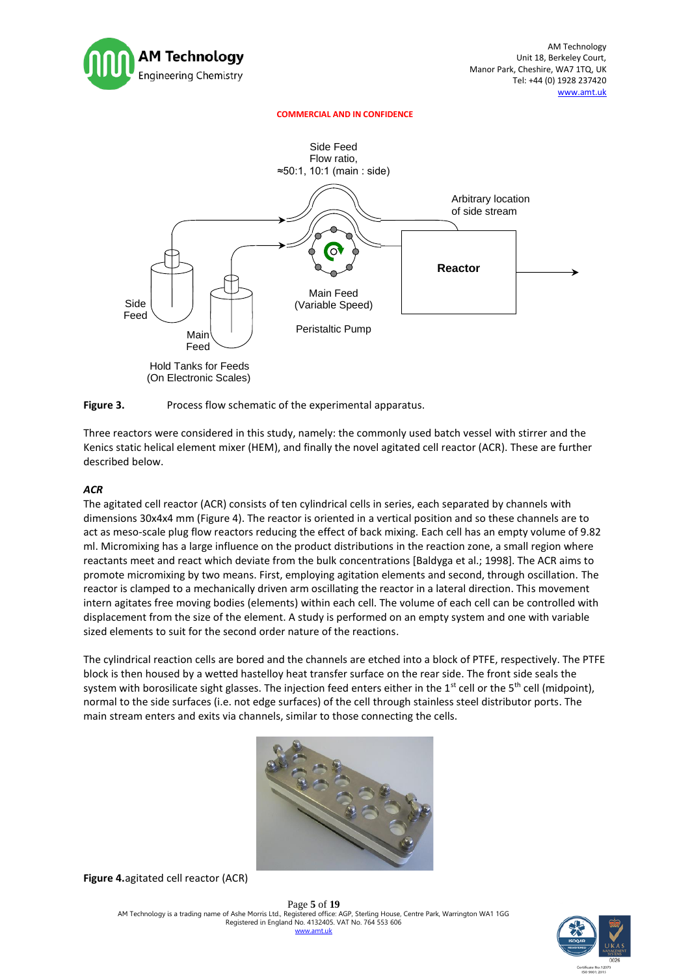



#### Figure 3. Process flow schematic of the experimental apparatus.

Three reactors were considered in this study, namely: the commonly used batch vessel with stirrer and the Kenics static helical element mixer (HEM), and finally the novel agitated cell reactor (ACR). These are further described below.

### *ACR*

The agitated cell reactor (ACR) consists of ten cylindrical cells in series, each separated by channels with dimensions 30x4x4 mm (Figure 4). The reactor is oriented in a vertical position and so these channels are to act as meso-scale plug flow reactors reducing the effect of back mixing. Each cell has an empty volume of 9.82 ml. Micromixing has a large influence on the product distributions in the reaction zone, a small region where reactants meet and react which deviate from the bulk concentrations [Baldyga et al.; 1998]. The ACR aims to promote micromixing by two means. First, employing agitation elements and second, through oscillation. The reactor is clamped to a mechanically driven arm oscillating the reactor in a lateral direction. This movement intern agitates free moving bodies (elements) within each cell. The volume of each cell can be controlled with displacement from the size of the element. A study is performed on an empty system and one with variable sized elements to suit for the second order nature of the reactions.

The cylindrical reaction cells are bored and the channels are etched into a block of PTFE, respectively. The PTFE block is then housed by a wetted hastelloy heat transfer surface on the rear side. The front side seals the system with borosilicate sight glasses. The injection feed enters either in the 1<sup>st</sup> cell or the 5<sup>th</sup> cell (midpoint), normal to the side surfaces (i.e. not edge surfaces) of the cell through stainless steel distributor ports. The main stream enters and exits via channels, similar to those connecting the cells.



**Figure 4.**agitated cell reactor (ACR)

Page **5** of **19** AM Technology is a trading name of Ashe Morris Ltd., Registered office: AGP, Sterling House, Centre Park, Warrington WA1 1GG Registered in England No. 4132405. VAT No. 764 553 606 [www.amt.u](http://www.amt/)k

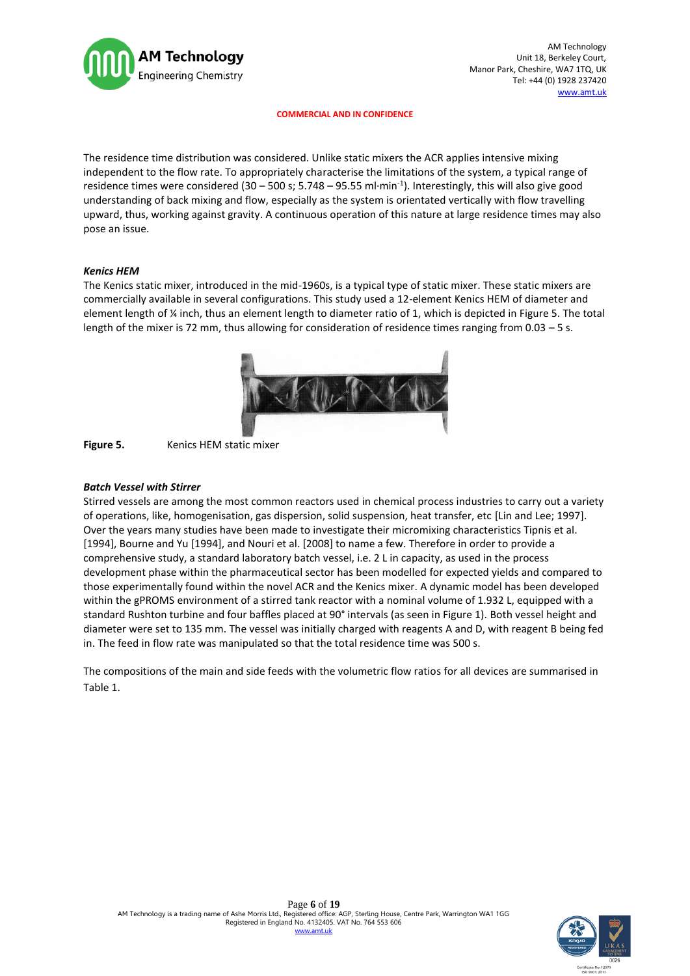

AM Technology Unit 18, Berkeley Court, Manor Park, Cheshire, WA7 1TQ, UK Tel: +44 (0) 1928 237420 [www.amt.u](http://www.amt/)k

**COMMERCIAL AND IN CONFIDENCE**

The residence time distribution was considered. Unlike static mixers the ACR applies intensive mixing independent to the flow rate. To appropriately characterise the limitations of the system, a typical range of residence times were considered (30 - 500 s; 5.748 - 95.55 ml·min<sup>-1</sup>). Interestingly, this will also give good understanding of back mixing and flow, especially as the system is orientated vertically with flow travelling upward, thus, working against gravity. A continuous operation of this nature at large residence times may also pose an issue.

### *Kenics HEM*

The Kenics static mixer, introduced in the mid-1960s, is a typical type of static mixer. These static mixers are commercially available in several configurations. This study used a 12-element Kenics HEM of diameter and element length of ¼ inch, thus an element length to diameter ratio of 1, which is depicted in Figure 5. The total length of the mixer is 72 mm, thus allowing for consideration of residence times ranging from 0.03 – 5 s.





#### *Batch Vessel with Stirrer*

Stirred vessels are among the most common reactors used in chemical process industries to carry out a variety of operations, like, homogenisation, gas dispersion, solid suspension, heat transfer, etc [Lin and Lee; 1997]. Over the years many studies have been made to investigate their micromixing characteristics Tipnis et al. [1994], Bourne and Yu [1994], and Nouri et al. [2008] to name a few. Therefore in order to provide a comprehensive study, a standard laboratory batch vessel, i.e. 2 L in capacity, as used in the process development phase within the pharmaceutical sector has been modelled for expected yields and compared to those experimentally found within the novel ACR and the Kenics mixer. A dynamic model has been developed within the gPROMS environment of a stirred tank reactor with a nominal volume of 1.932 L, equipped with a standard Rushton turbine and four baffles placed at 90° intervals (as seen in Figure 1). Both vessel height and diameter were set to 135 mm. The vessel was initially charged with reagents A and D, with reagent B being fed in. The feed in flow rate was manipulated so that the total residence time was 500 s.

The compositions of the main and side feeds with the volumetric flow ratios for all devices are summarised in Table 1.

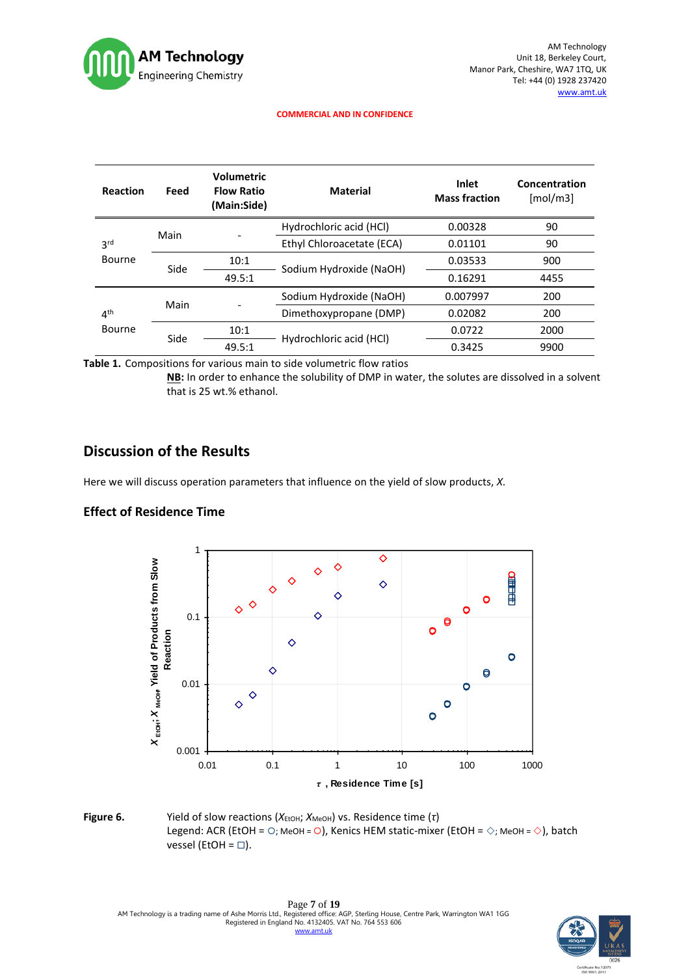

| Reaction                  | Feed | <b>Volumetric</b><br><b>Flow Ratio</b><br>(Main:Side) | <b>Material</b>           | <b>Inlet</b><br><b>Mass fraction</b> | Concentration<br>[mol/m3] |
|---------------------------|------|-------------------------------------------------------|---------------------------|--------------------------------------|---------------------------|
| 3 <sup>rd</sup><br>Bourne | Main |                                                       | Hydrochloric acid (HCl)   | 0.00328                              | 90                        |
|                           |      |                                                       | Ethyl Chloroacetate (ECA) | 0.01101                              | 90                        |
|                           | Side | 10:1                                                  | Sodium Hydroxide (NaOH)   | 0.03533                              | 900                       |
|                           |      | 49.5:1                                                |                           | 0.16291                              | 4455                      |
| 4 <sup>th</sup><br>Bourne | Main |                                                       | Sodium Hydroxide (NaOH)   | 0.007997                             | 200                       |
|                           |      |                                                       | Dimethoxypropane (DMP)    | 0.02082                              | 200                       |
|                           | Side | 10:1                                                  | Hydrochloric acid (HCl)   | 0.0722                               | 2000                      |
|                           |      | 49.5:1                                                |                           | 0.3425                               | 9900                      |

**Table 1.** Compositions for various main to side volumetric flow ratios

**NB:** In order to enhance the solubility of DMP in water, the solutes are dissolved in a solvent that is 25 wt.% ethanol.

# **Discussion of the Results**

Here we will discuss operation parameters that influence on the yield of slow products, *X*.

### **Effect of Residence Time**



**Figure 6.** Yield of slow reactions ( $X<sub>EtoH</sub>$ ;  $X<sub>MeOH</sub>$ ) vs. Residence time (τ) Legend: ACR (EtOH =  $\bigcirc$ ; MeOH =  $\bigcirc$ ), Kenics HEM static-mixer (EtOH =  $\diamond$ ; MeOH =  $\diamond$ ), batch vessel (EtOH =  $\square$ ).

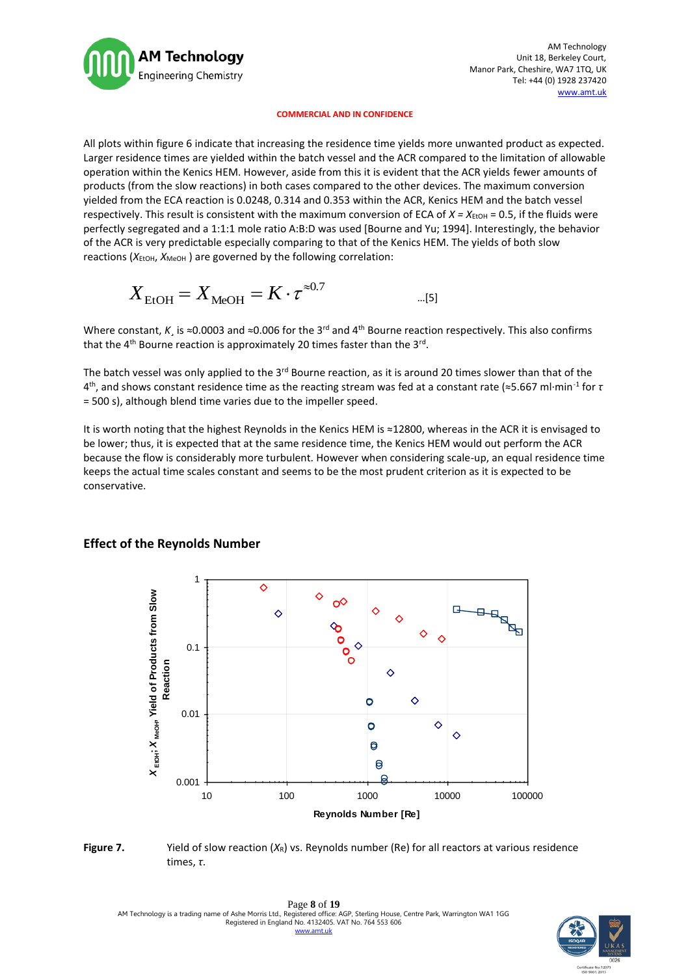

AM Technology Unit 18, Berkeley Court, Manor Park, Cheshire, WA7 1TQ, UK Tel: +44 (0) 1928 237420 [www.amt.u](http://www.amt/)k

#### **COMMERCIAL AND IN CONFIDENCE**

All plots within figure 6 indicate that increasing the residence time yields more unwanted product as expected. Larger residence times are yielded within the batch vessel and the ACR compared to the limitation of allowable operation within the Kenics HEM. However, aside from this it is evident that the ACR yields fewer amounts of products (from the slow reactions) in both cases compared to the other devices. The maximum conversion yielded from the ECA reaction is 0.0248, 0.314 and 0.353 within the ACR, Kenics HEM and the batch vessel respectively. This result is consistent with the maximum conversion of ECA of  $X = X_{\text{EtOH}} = 0.5$ , if the fluids were perfectly segregated and a 1:1:1 mole ratio A:B:D was used [Bourne and Yu; 1994]. Interestingly, the behavior of the ACR is very predictable especially comparing to that of the Kenics HEM. The yields of both slow reactions (*X*<sub>ЕtОН</sub>, *X*<sub>МеОН</sub>) are governed by the following correlation:

$$
X_{\text{EtOH}} = X_{\text{MeOH}} = K \cdot \tau^{\approx 0.7}
$$

Where constant, *K*, is ≈0.0003 and ≈0.006 for the 3<sup>rd</sup> and 4<sup>th</sup> Bourne reaction respectively. This also confirms that the 4<sup>th</sup> Bourne reaction is approximately 20 times faster than the 3<sup>rd</sup>.

The batch vessel was only applied to the  $3^{rd}$  Bourne reaction, as it is around 20 times slower than that of the 4 th, and shows constant residence time as the reacting stream was fed at a constant rate (≈5.667 ml·min-1 for *τ* = 500 s), although blend time varies due to the impeller speed.

It is worth noting that the highest Reynolds in the Kenics HEM is ≈12800, whereas in the ACR it is envisaged to be lower; thus, it is expected that at the same residence time, the Kenics HEM would out perform the ACR because the flow is considerably more turbulent. However when considering scale-up, an equal residence time keeps the actual time scales constant and seems to be the most prudent criterion as it is expected to be conservative.



### **Effect of the Reynolds Number**

**Figure 7.** Yield of slow reaction  $(X_R)$  vs. Reynolds number (Re) for all reactors at various residence times, *τ*.

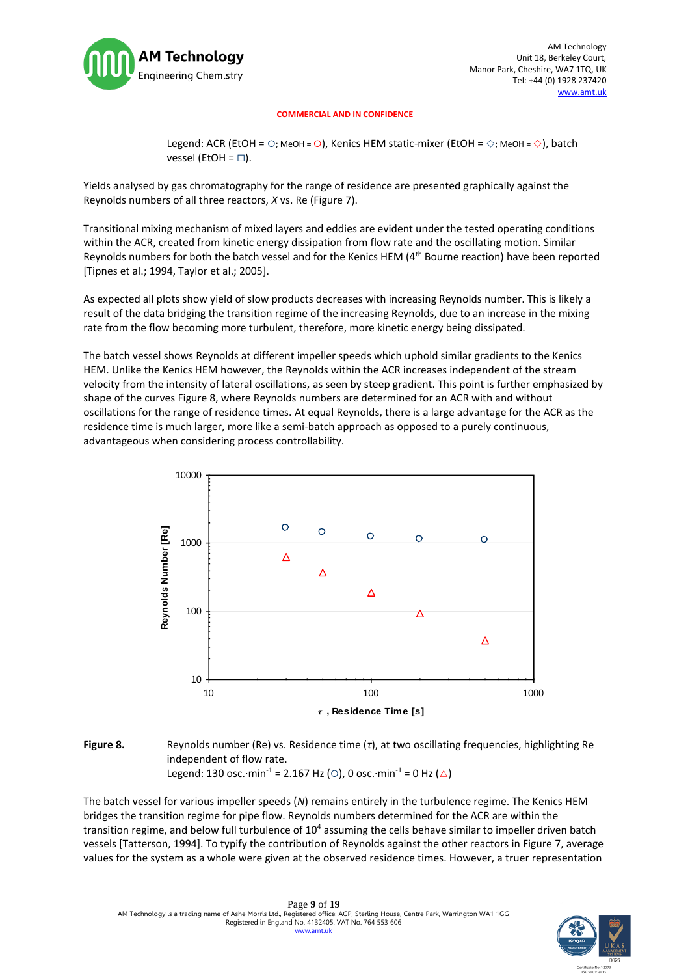

Legend: ACR (EtOH =  $\bigcirc$ ; MeOH =  $\bigcirc$ ), Kenics HEM static-mixer (EtOH =  $\diamond$ ; MeOH =  $\diamond$ ), batch vessel (EtOH =  $\square$ ).

Yields analysed by gas chromatography for the range of residence are presented graphically against the Reynolds numbers of all three reactors, *X* vs. Re (Figure 7).

Transitional mixing mechanism of mixed layers and eddies are evident under the tested operating conditions within the ACR, created from kinetic energy dissipation from flow rate and the oscillating motion. Similar Reynolds numbers for both the batch vessel and for the Kenics HEM (4th Bourne reaction) have been reported [Tipnes et al.; 1994, Taylor et al.; 2005].

As expected all plots show yield of slow products decreases with increasing Reynolds number. This is likely a result of the data bridging the transition regime of the increasing Reynolds, due to an increase in the mixing rate from the flow becoming more turbulent, therefore, more kinetic energy being dissipated.

The batch vessel shows Reynolds at different impeller speeds which uphold similar gradients to the Kenics HEM. Unlike the Kenics HEM however, the Reynolds within the ACR increases independent of the stream velocity from the intensity of lateral oscillations, as seen by steep gradient. This point is further emphasized by shape of the curves Figure 8, where Reynolds numbers are determined for an ACR with and without oscillations for the range of residence times. At equal Reynolds, there is a large advantage for the ACR as the residence time is much larger, more like a semi-batch approach as opposed to a purely continuous, advantageous when considering process controllability.



### **Figure 8.** Reynolds number (Re) vs. Residence time (*τ*), at two oscillating frequencies, highlighting Re independent of flow rate. Legend: 130 osc.·min<sup>-1</sup> = 2.167 Hz (O), 0 osc.·min<sup>-1</sup> = 0 Hz ( $\triangle$ )

The batch vessel for various impeller speeds (*N*) remains entirely in the turbulence regime. The Kenics HEM bridges the transition regime for pipe flow. Reynolds numbers determined for the ACR are within the transition regime, and below full turbulence of 10<sup>4</sup> assuming the cells behave similar to impeller driven batch vessels [Tatterson, 1994]. To typify the contribution of Reynolds against the other reactors in Figure 7, average values for the system as a whole were given at the observed residence times. However, a truer representation

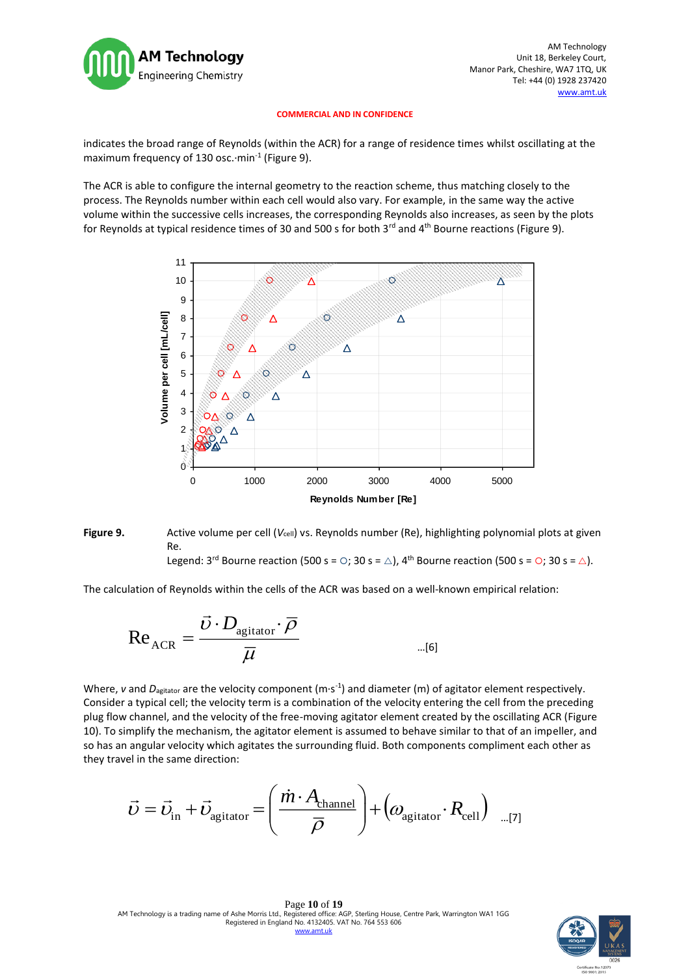

indicates the broad range of Reynolds (within the ACR) for a range of residence times whilst oscillating at the maximum frequency of 130 osc. $\cdot$ min<sup>-1</sup> (Figure 9).

The ACR is able to configure the internal geometry to the reaction scheme, thus matching closely to the process. The Reynolds number within each cell would also vary. For example, in the same way the active volume within the successive cells increases, the corresponding Reynolds also increases, as seen by the plots for Reynolds at typical residence times of 30 and 500 s for both  $3^{rd}$  and  $4^{th}$  Bourne reactions (Figure 9).



**Figure 9.** Active volume per cell (*V*<sub>cell</sub>) vs. Reynolds number (Re), highlighting polynomial plots at given Re. Legend:  $3^{rd}$  Bourne reaction (500 s =  $\circ$ ; 30 s =  $\triangle$ ), 4<sup>th</sup> Bourne reaction (500 s =  $\circ$ ; 30 s =  $\triangle$ ).

The calculation of Reynolds within the cells of the ACR was based on a well-known empirical relation:

$$
\text{Re}_{\text{ACR}} = \frac{\vec{v} \cdot D_{\text{agitator}} \cdot \overline{\rho}}{\overline{\mu}}
$$

Where, v and  $D_{\text{agitator}}$  are the velocity component (m·s<sup>-1</sup>) and diameter (m) of agitator element respectively. Consider a typical cell; the velocity term is a combination of the velocity entering the cell from the preceding plug flow channel, and the velocity of the free-moving agitator element created by the oscillating ACR (Figure 10). To simplify the mechanism, the agitator element is assumed to behave similar to that of an impeller, and so has an angular velocity which agitates the surrounding fluid. Both components compliment each other as they travel in the same direction:

$$
\vec{v} = \vec{v}_{\text{in}} + \vec{v}_{\text{agitator}} = \left(\frac{\dot{m} \cdot A_{\text{channel}}}{\overline{\rho}}\right) + \left(\omega_{\text{agitator}} \cdot R_{\text{cell}}\right) \quad \text{and} \quad \text{and} \quad \vec{v} = \vec{v}_{\text{in}} + \vec{v}_{\text{in}} \quad \text{and} \quad \vec{v} = \vec{v}_{\text{in}} + \vec{v}_{\text{in}} \quad \text{and} \quad \vec{v} = \vec{v}_{\text{in}} + \vec{v}_{\text{in}} \quad \text{and} \quad \vec{v} = \vec{v}_{\text{in}} + \vec{v}_{\text{in}} \quad \text{and} \quad \vec{v} = \vec{v}_{\text{in}} + \vec{v}_{\text{in}} \quad \text{and} \quad \vec{v} = \vec{v}_{\text{in}} + \vec{v}_{\text{in}} \quad \text{and} \quad \vec{v} = \vec{v}_{\text{in}} + \vec{v}_{\text{in}} \quad \text{and} \quad \vec{v} = \vec{v}_{\text{in}} + \vec{v}_{\text{in}} \quad \text{and} \quad \vec{v} = \vec{v}_{\text{in}} + \vec{v}_{\text{in}} \quad \text{and} \quad \vec{v} = \vec{v}_{\text{in}} + \vec{v}_{\text{in}} \quad \text{and} \quad \vec{v} = \vec{v}_{\text{in}} + \vec{v}_{\text{out}} \quad \text{and} \quad \vec{v} = \vec{v}_{\text{in}} + \vec{v}_{\text{out}} \quad \text{and} \quad \vec{v} = \vec{v}_{\text{in}} + \vec{v}_{\text{out}} \quad \text{and} \quad \vec{v} = \vec{v}_{\text{in}} + \vec{v}_{\text{out}} \quad \text{and} \quad \vec{v} = \vec{v}_{\text{out}} + \vec{v}_{\text{out}} \quad \text{and} \quad \vec{v} = \vec{v}_{\text{out}} + \vec{v}_{\text{out}} \quad \text{and} \quad \vec{v} = \vec{v}_{\text{out}} + \vec{v}_{\text{out}} \quad \text{and} \quad \vec{v} = \vec{v}_{\text{out}} + \vec{v}_{\text{out}} \quad \text{and} \quad \vec{v} = \vec{v}_{\text
$$

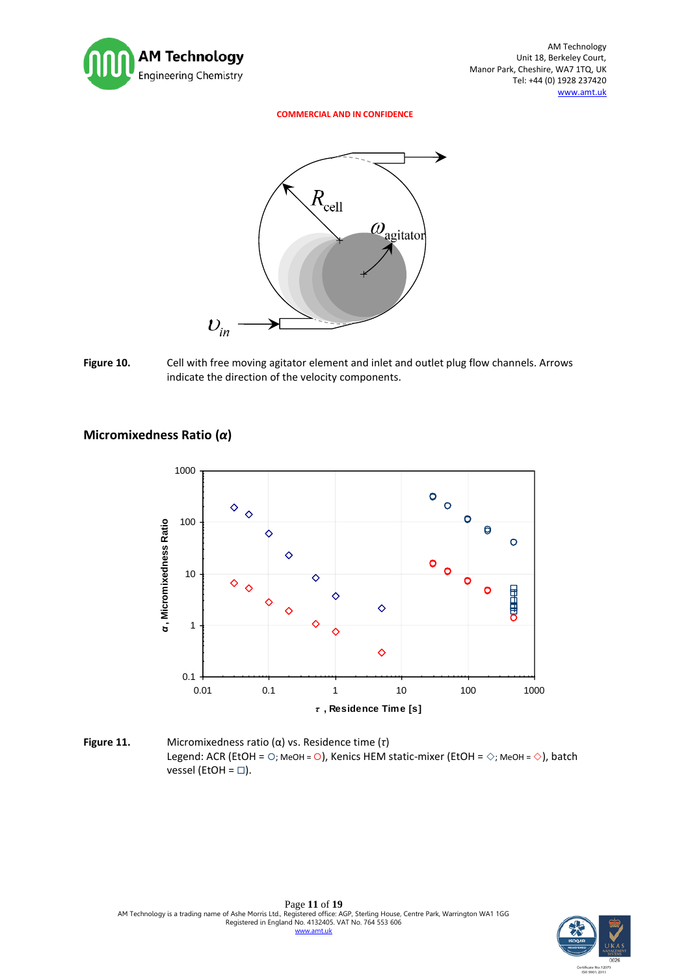





# **Micromixedness Ratio (***α***)**



**Figure 11.** Micromixedness ratio (α) vs. Residence time (*τ*) Legend: ACR (EtOH =  $\circ$ ; MeOH =  $\circ$ ), Kenics HEM static-mixer (EtOH =  $\diamond$ ; MeOH =  $\diamond$ ), batch vessel (EtOH =  $\square$ ).

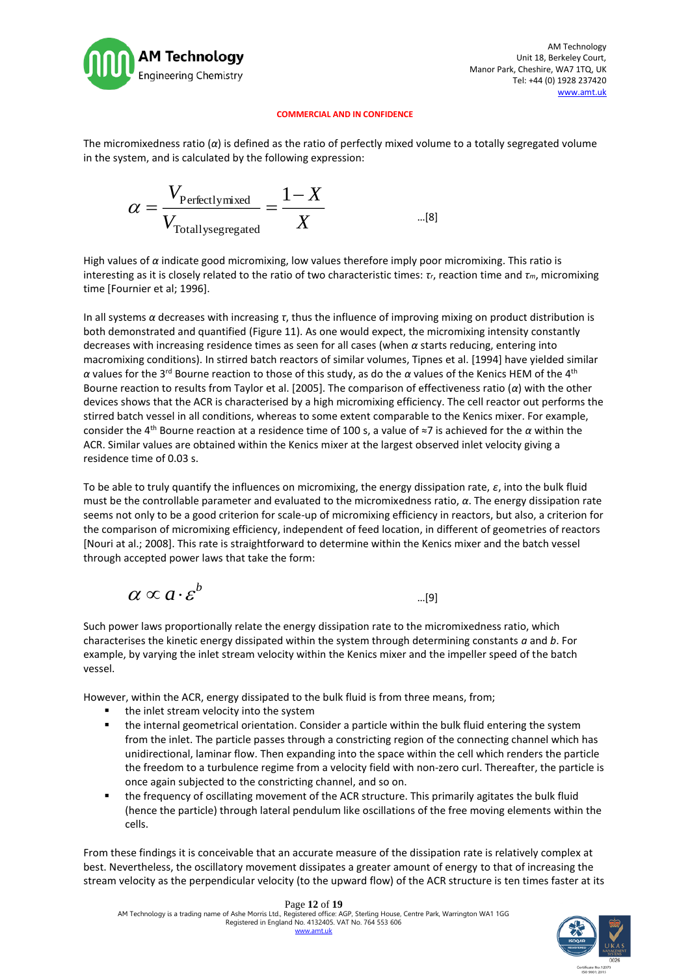

The micromixedness ratio (*α*) is defined as the ratio of perfectly mixed volume to a totally segregated volume in the system, and is calculated by the following expression:

$$
\alpha = \frac{V_{\text{Perfectlymixed}}}{V_{\text{Totallysegregated}}} = \frac{1 - X}{X}
$$
...(8)

High values of *α* indicate good micromixing, low values therefore imply poor micromixing. This ratio is interesting as it is closely related to the ratio of two characteristic times: *τr*, reaction time and *τm*, micromixing time [Fournier et al; 1996].

In all systems *α* decreases with increasing *τ*, thus the influence of improving mixing on product distribution is both demonstrated and quantified (Figure 11). As one would expect, the micromixing intensity constantly decreases with increasing residence times as seen for all cases (when *α* starts reducing, entering into macromixing conditions). In stirred batch reactors of similar volumes, Tipnes et al. [1994] have yielded similar *α* values for the 3rd Bourne reaction to those of this study, as do the *α* values of the Kenics HEM of the 4th Bourne reaction to results from Taylor et al. [2005]. The comparison of effectiveness ratio (*α*) with the other devices shows that the ACR is characterised by a high micromixing efficiency. The cell reactor out performs the stirred batch vessel in all conditions, whereas to some extent comparable to the Kenics mixer. For example, consider the 4th Bourne reaction at a residence time of 100 s, a value of ≈7 is achieved for the *α* within the ACR. Similar values are obtained within the Kenics mixer at the largest observed inlet velocity giving a residence time of 0.03 s.

To be able to truly quantify the influences on micromixing, the energy dissipation rate, *ε*, into the bulk fluid must be the controllable parameter and evaluated to the micromixedness ratio, *α*. The energy dissipation rate seems not only to be a good criterion for scale-up of micromixing efficiency in reactors, but also, a criterion for the comparison of micromixing efficiency, independent of feed location, in different of geometries of reactors [Nouri at al.; 2008]. This rate is straightforward to determine within the Kenics mixer and the batch vessel through accepted power laws that take the form:

$$
\alpha \propto a \cdot \varepsilon^{b} \qquad \qquad \ldots \qquad \ldots \qquad \qquad \ldots \qquad \qquad \ldots \qquad \qquad \ldots \qquad \qquad \ldots \qquad \qquad \ldots \qquad \qquad \ldots \qquad \qquad \ldots \qquad \qquad \ldots \qquad \qquad \ldots \qquad \qquad \ldots \qquad \qquad \ldots \qquad \qquad \ldots \qquad \qquad \ldots \qquad \qquad \ldots \qquad \qquad \ldots \qquad \qquad \ldots \qquad \qquad \ldots \qquad \qquad \ldots \qquad \qquad \ldots \qquad \qquad \ldots \qquad \qquad \ldots \qquad \qquad \ldots \qquad \qquad \ldots \qquad \qquad \ldots \qquad \qquad \ldots \qquad \qquad \ldots \qquad \qquad \ldots \qquad \qquad \ldots \qquad \qquad \ldots \qquad \qquad \ldots \qquad \qquad \ldots \qquad \qquad \ldots \qquad \qquad \ldots \qquad \qquad \ldots \qquad \qquad \ldots \qquad \qquad \ldots \qquad \qquad \ldots \qquad \qquad \ldots \qquad \qquad \ldots \qquad \qquad \ldots \qquad \qquad \ldots \qquad \qquad \ldots \qquad \qquad \ldots \qquad \qquad \ldots \qquad \qquad \ldots \qquad \qquad \ldots \qquad \qquad \ldots \qquad \qquad \ldots \qquad \qquad \ldots \qquad \qquad \ldots \qquad \qquad \ldots \qquad \qquad \ldots \qquad \qquad \ldots \qquad \qquad \ldots \qquad \qquad \ldots \qquad \qquad \ldots \qquad \qquad \ldots \qquad \qquad \ldots \qquad \qquad \ldots \qquad \qquad \qquad \ldots \qquad \qquad \ldots \qquad \qquad \ldots \qquad \qquad \ldots \qquad \qquad \ldots \qquad \qquad \ldots \qquad \qquad \ldots \qquad \qquad \ldots \qquad \qquad \ldots \qquad \qquad \ldots \qquad \qquad \ldots \qquad \qquad \ldots \qquad \qquad \ldots \qquad \qquad \ldots \qquad \qquad \ldots \qquad \qquad \ldots \qquad \qquad \ldots \qquad \qquad \ldots \qquad \qquad \ldots \qquad \qquad \ldots \qquad \qquad \ldots \qquad \qquad \
$$

Such power laws proportionally relate the energy dissipation rate to the micromixedness ratio, which characterises the kinetic energy dissipated within the system through determining constants *a* and *b*. For example, by varying the inlet stream velocity within the Kenics mixer and the impeller speed of the batch vessel.

However, within the ACR, energy dissipated to the bulk fluid is from three means, from;

- the inlet stream velocity into the system
- the internal geometrical orientation. Consider a particle within the bulk fluid entering the system from the inlet. The particle passes through a constricting region of the connecting channel which has unidirectional, laminar flow. Then expanding into the space within the cell which renders the particle the freedom to a turbulence regime from a velocity field with non-zero curl. Thereafter, the particle is once again subjected to the constricting channel, and so on.
- the frequency of oscillating movement of the ACR structure. This primarily agitates the bulk fluid (hence the particle) through lateral pendulum like oscillations of the free moving elements within the cells.

From these findings it is conceivable that an accurate measure of the dissipation rate is relatively complex at best. Nevertheless, the oscillatory movement dissipates a greater amount of energy to that of increasing the stream velocity as the perpendicular velocity (to the upward flow) of the ACR structure is ten times faster at its

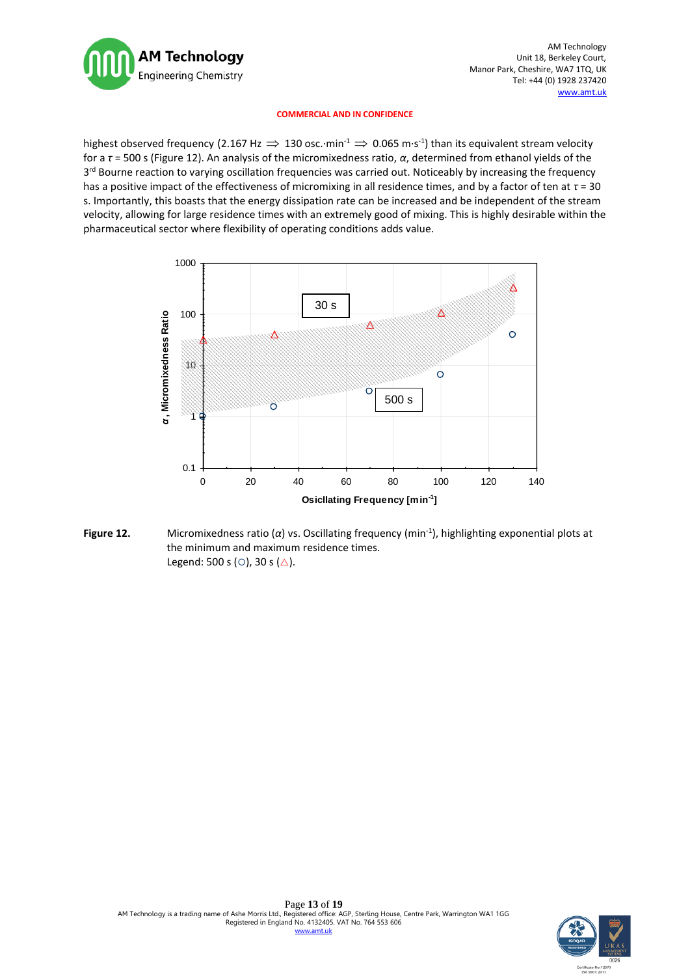

highest observed frequency (2.167 Hz  $\Rightarrow$  130 osc. $\cdot$ min<sup>-1</sup>  $\Rightarrow$  0.065 m $\cdot$ s<sup>-1</sup>) than its equivalent stream velocity for a *τ* = 500 s (Figure 12). An analysis of the micromixedness ratio, *α*, determined from ethanol yields of the 3<sup>rd</sup> Bourne reaction to varying oscillation frequencies was carried out. Noticeably by increasing the frequency has a positive impact of the effectiveness of micromixing in all residence times, and by a factor of ten at *τ* = 30 s. Importantly, this boasts that the energy dissipation rate can be increased and be independent of the stream velocity, allowing for large residence times with an extremely good of mixing. This is highly desirable within the pharmaceutical sector where flexibility of operating conditions adds value.



**Figure 12.** Micromixedness ratio (α) vs. Oscillating frequency (min<sup>-1</sup>), highlighting exponential plots at the minimum and maximum residence times. Legend: 500 s ( $\circ$ ), 30 s ( $\triangle$ ).

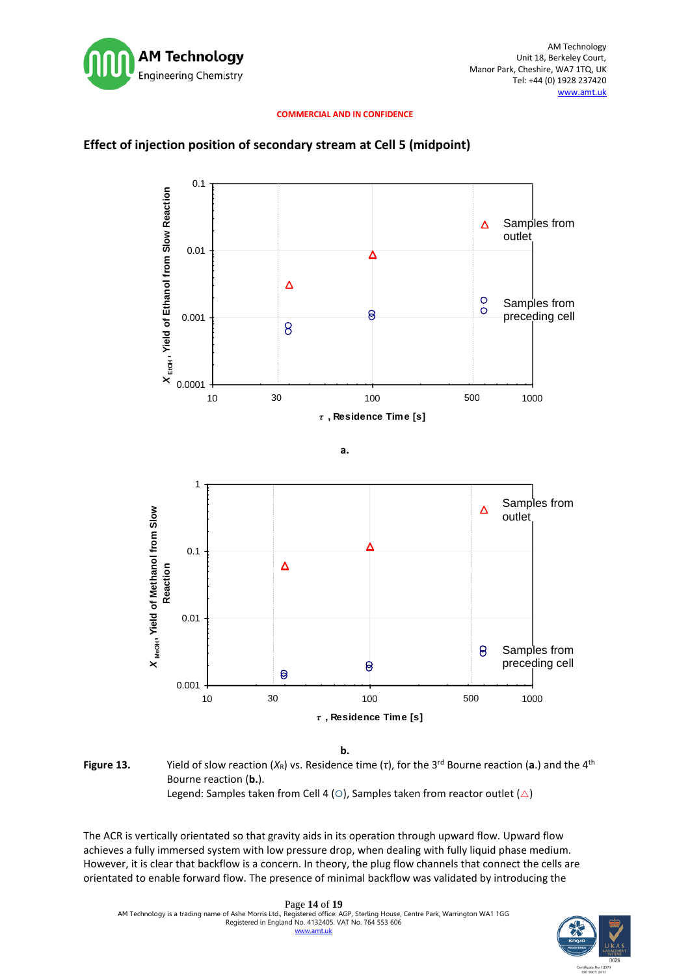

### **Effect of injection position of secondary stream at Cell 5 (midpoint)**



**b.**

**Figure 13.** Yield of slow reaction (*X*<sub>R</sub>) vs. Residence time (*τ*), for the 3<sup>rd</sup> Bourne reaction (a.) and the 4<sup>th</sup> Bourne reaction (**b.**). Legend: Samples taken from Cell 4 ( $\circ$ ), Samples taken from reactor outlet ( $\triangle$ )

The ACR is vertically orientated so that gravity aids in its operation through upward flow. Upward flow achieves a fully immersed system with low pressure drop, when dealing with fully liquid phase medium. However, it is clear that backflow is a concern. In theory, the plug flow channels that connect the cells are orientated to enable forward flow. The presence of minimal backflow was validated by introducing the

Page **14** of **19** AM Technology is a trading name of Ashe Morris Ltd., Registered office: AGP, Sterling House, Centre Park, Warrington WA1 1GG Registered in England No. 4132405. VAT No. 764 553 606 nt.uk

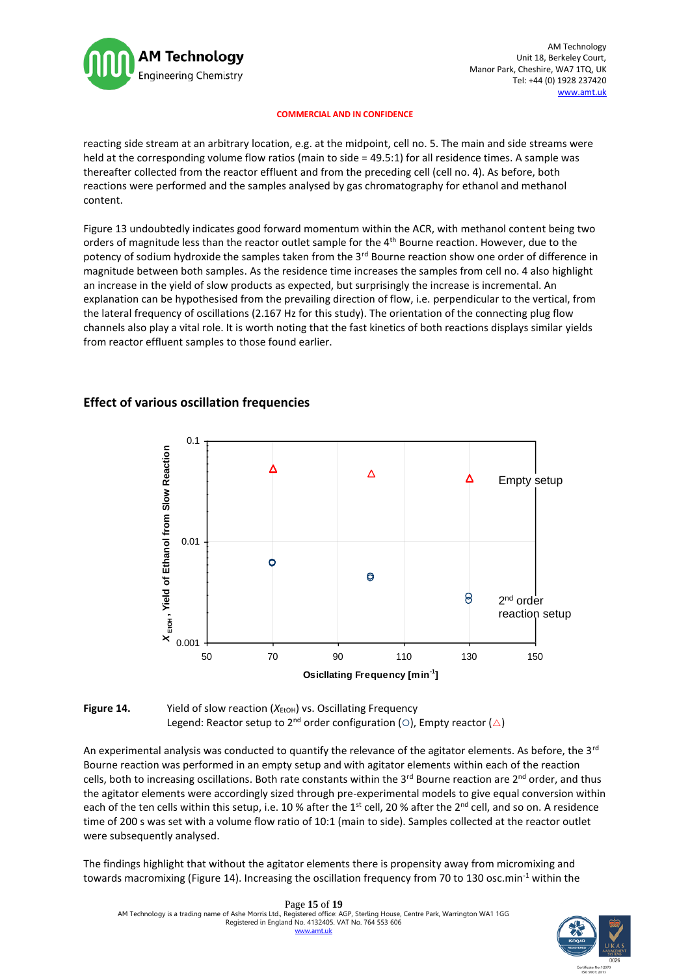

reacting side stream at an arbitrary location, e.g. at the midpoint, cell no. 5. The main and side streams were held at the corresponding volume flow ratios (main to side = 49.5:1) for all residence times. A sample was thereafter collected from the reactor effluent and from the preceding cell (cell no. 4). As before, both reactions were performed and the samples analysed by gas chromatography for ethanol and methanol content.

Figure 13 undoubtedly indicates good forward momentum within the ACR, with methanol content being two orders of magnitude less than the reactor outlet sample for the 4<sup>th</sup> Bourne reaction. However, due to the potency of sodium hydroxide the samples taken from the 3<sup>rd</sup> Bourne reaction show one order of difference in magnitude between both samples. As the residence time increases the samples from cell no. 4 also highlight an increase in the yield of slow products as expected, but surprisingly the increase is incremental. An explanation can be hypothesised from the prevailing direction of flow, i.e. perpendicular to the vertical, from the lateral frequency of oscillations (2.167 Hz for this study). The orientation of the connecting plug flow channels also play a vital role. It is worth noting that the fast kinetics of both reactions displays similar yields from reactor effluent samples to those found earlier.

### **Effect of various oscillation frequencies**





An experimental analysis was conducted to quantify the relevance of the agitator elements. As before, the  $3^{rd}$ Bourne reaction was performed in an empty setup and with agitator elements within each of the reaction cells, both to increasing oscillations. Both rate constants within the 3<sup>rd</sup> Bourne reaction are 2<sup>nd</sup> order, and thus the agitator elements were accordingly sized through pre-experimental models to give equal conversion within each of the ten cells within this setup, i.e. 10 % after the 1<sup>st</sup> cell, 20 % after the 2<sup>nd</sup> cell, and so on. A residence time of 200 s was set with a volume flow ratio of 10:1 (main to side). Samples collected at the reactor outlet were subsequently analysed.

The findings highlight that without the agitator elements there is propensity away from micromixing and towards macromixing (Figure 14). Increasing the oscillation frequency from 70 to 130 osc.min<sup>-1</sup> within the

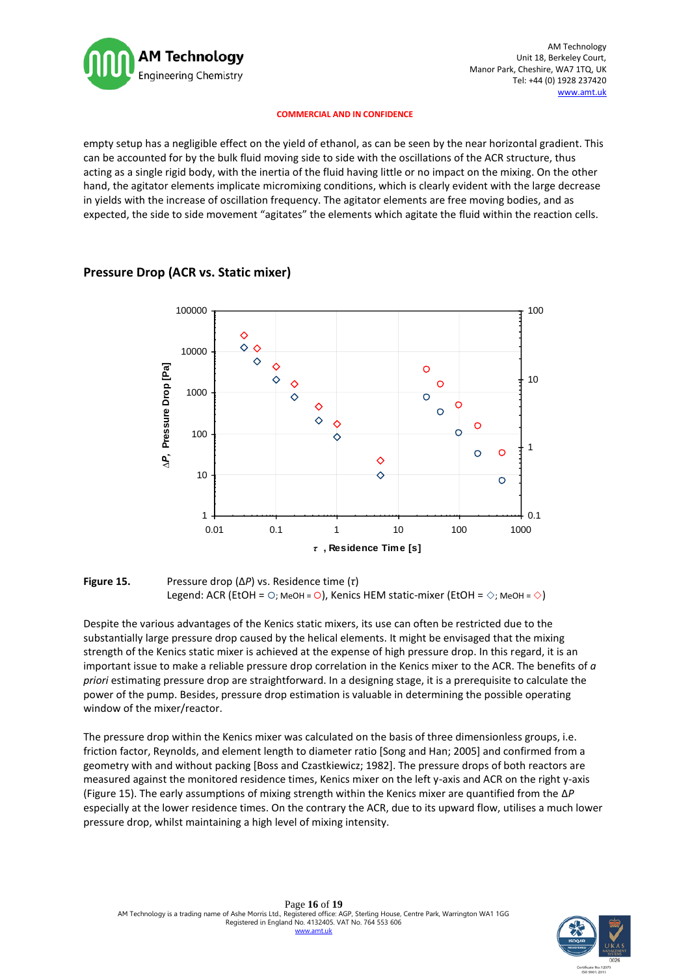

empty setup has a negligible effect on the yield of ethanol, as can be seen by the near horizontal gradient. This can be accounted for by the bulk fluid moving side to side with the oscillations of the ACR structure, thus acting as a single rigid body, with the inertia of the fluid having little or no impact on the mixing. On the other hand, the agitator elements implicate micromixing conditions, which is clearly evident with the large decrease in yields with the increase of oscillation frequency. The agitator elements are free moving bodies, and as expected, the side to side movement "agitates" the elements which agitate the fluid within the reaction cells.



### **Pressure Drop (ACR vs. Static mixer)**

**Figure 15.** Pressure drop (∆*P*) vs. Residence time (*τ*) Legend: ACR (EtOH =  $\circ$ : MeOH =  $\circ$ ), Kenics HEM static-mixer (EtOH =  $\circ$ : MeOH =  $\circ$ )

Despite the various advantages of the Kenics static mixers, its use can often be restricted due to the substantially large pressure drop caused by the helical elements. It might be envisaged that the mixing strength of the Kenics static mixer is achieved at the expense of high pressure drop. In this regard, it is an important issue to make a reliable pressure drop correlation in the Kenics mixer to the ACR. The benefits of *a priori* estimating pressure drop are straightforward. In a designing stage, it is a prerequisite to calculate the power of the pump. Besides, pressure drop estimation is valuable in determining the possible operating window of the mixer/reactor.

The pressure drop within the Kenics mixer was calculated on the basis of three dimensionless groups, i.e. friction factor, Reynolds, and element length to diameter ratio [Song and Han; 2005] and confirmed from a geometry with and without packing [Boss and Czastkiewicz; 1982]. The pressure drops of both reactors are measured against the monitored residence times, Kenics mixer on the left y-axis and ACR on the right y-axis (Figure 15). The early assumptions of mixing strength within the Kenics mixer are quantified from the ∆*P* especially at the lower residence times. On the contrary the ACR, due to its upward flow, utilises a much lower pressure drop, whilst maintaining a high level of mixing intensity.

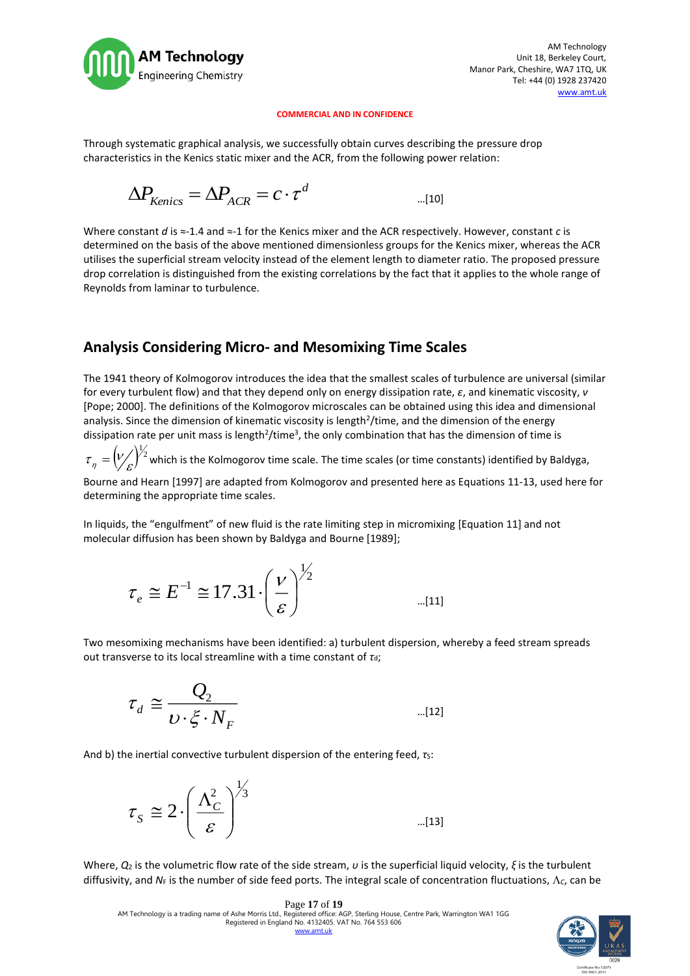

Through systematic graphical analysis, we successfully obtain curves describing the pressure drop characteristics in the Kenics static mixer and the ACR, from the following power relation:

$$
\Delta P_{\text{Kenics}} = \Delta P_{\text{ACR}} = c \cdot \tau^d \qquad \qquad \ldots \qquad \qquad \ldots \qquad \qquad \ldots \qquad \qquad \ldots \qquad \qquad \ldots \qquad \qquad \ldots \qquad \qquad \ldots \qquad \qquad \ldots \qquad \qquad \ldots \qquad \qquad \ldots \qquad \qquad \ldots \qquad \qquad \ldots \qquad \qquad \ldots \qquad \qquad \ldots \qquad \qquad \ldots \qquad \qquad \ldots \qquad \qquad \ldots \qquad \qquad \ldots \qquad \qquad \ldots \qquad \qquad \ldots \qquad \qquad \ldots \qquad \qquad \ldots \qquad \qquad \ldots \qquad \qquad \ldots \qquad \qquad \ldots \qquad \qquad \ldots \qquad \qquad \ldots \qquad \qquad \ldots \qquad \qquad \ldots \qquad \qquad \ldots \qquad \qquad \ldots \qquad \qquad \ldots \qquad \qquad \ldots \qquad \qquad \ldots \qquad \qquad \ldots \qquad \qquad \ldots \qquad \qquad \ldots \qquad \qquad \ldots \qquad \qquad \ldots \qquad \qquad \ldots \qquad \qquad \ldots \qquad \qquad \ldots \qquad \qquad \ldots \qquad \qquad \ldots \qquad \qquad \ldots \qquad \qquad \ldots \qquad \qquad \ldots \qquad \qquad \ldots \qquad \qquad \ldots \qquad \qquad \ldots \qquad \qquad \ldots \qquad \qquad \ldots \qquad \qquad \ldots \qquad \qquad \ldots \qquad \qquad \ldots \qquad \qquad \ldots \qquad \qquad \ldots \qquad \qquad \ldots \qquad \qquad \ldots \qquad \qquad \ldots \qquad \qquad \ldots \qquad \qquad \ldots \qquad \qquad \ldots \qquad \qquad \ldots \qquad \qquad \ldots \qquad \qquad \ldots \qquad \qquad \ldots \qquad \qquad \ldots \qquad \qquad \ldots \qquad \qquad \ldots \qquad \qquad \ldots \qquad \qquad \ldots \qquad \qquad \ldots \qquad \qquad \ldots \qquad \qquad \ldots \qquad \qquad \ldots \qquad \qquad \ldots \qquad \qquad \ldots \qquad \qquad \ldots \qquad \qquad \ldots \qquad \qquad \ldots \q
$$

Where constant *d* is ≈-1.4 and ≈-1 for the Kenics mixer and the ACR respectively. However, constant *c* is determined on the basis of the above mentioned dimensionless groups for the Kenics mixer, whereas the ACR utilises the superficial stream velocity instead of the element length to diameter ratio. The proposed pressure drop correlation is distinguished from the existing correlations by the fact that it applies to the whole range of Reynolds from laminar to turbulence.

# **Analysis Considering Micro- and Mesomixing Time Scales**

The 1941 theory of Kolmogorov introduces the idea that the smallest scales of turbulence are universal (similar for every turbulent flow) and that they depend only on energy dissipation rate, *ε*, and kinematic viscosity, *ν* [Pope; 2000]. The definitions of the Kolmogorov microscales can be obtained using this idea and dimensional analysis. Since the dimension of kinematic viscosity is length<sup>2</sup>/time, and the dimension of the energy dissipation rate per unit mass is length<sup>2</sup>/time<sup>3</sup>, the only combination that has the dimension of time is

 $\left(\!\!{\,}^{\mathop{}\limits_{}}_{\mathop{}\limits^{}}\right)^{\mathop{}\limits_{}}_{\mathop{}\limits^{}}\right)^{\mathop{}\limits_{}}_{\mathop{}\limits^{}}$  $\tau_{\eta} = \bigvee_{\mathcal{E}} \int^{2}$  which is the Kolmogorov time scale. The time scales (or time constants) identified by Baldyga,

Bourne and Hearn [1997] are adapted from Kolmogorov and presented here as Equations 11-13, used here for determining the appropriate time scales.

In liquids, the "engulfment" of new fluid is the rate limiting step in micromixing [Equation 11] and not molecular diffusion has been shown by Baldyga and Bourne [1989];

$$
\tau_e \cong E^{-1} \cong 17.31 \cdot \left(\frac{v}{\varepsilon}\right)^{\frac{1}{2}}
$$
 ... (11)

Two mesomixing mechanisms have been identified: a) turbulent dispersion, whereby a feed stream spreads out transverse to its local streamline with a time constant of *τ*d;

$$
\tau_d \cong \frac{Q_2}{\nu \cdot \xi \cdot N_F} \qquad \qquad \ldots \qquad \qquad \ldots \qquad \qquad \ldots \qquad \qquad \ldots \qquad \qquad \ldots \qquad \qquad \ldots \qquad \qquad \ldots \qquad \qquad \ldots \qquad \qquad \ldots \qquad \qquad \ldots \qquad \qquad \ldots \qquad \qquad \ldots \qquad \qquad \ldots \qquad \qquad \ldots \qquad \qquad \ldots \qquad \qquad \ldots \qquad \qquad \ldots \qquad \qquad \ldots \qquad \qquad \ldots \qquad \qquad \ldots \qquad \qquad \ldots \qquad \qquad \ldots \qquad \qquad \ldots \qquad \qquad \ldots \qquad \qquad \ldots \qquad \qquad \ldots \qquad \qquad \ldots \qquad \qquad \ldots \qquad \qquad \ldots \qquad \qquad \ldots \qquad \qquad \ldots \qquad \qquad \ldots \qquad \qquad \ldots \qquad \qquad \ldots \qquad \qquad \ldots \qquad \qquad \ldots \qquad \qquad \ldots \qquad \qquad \ldots \qquad \qquad \ldots \qquad \qquad \ldots \qquad \qquad \ldots \qquad \qquad \ldots \qquad \qquad \ldots \qquad \qquad \ldots \qquad \qquad \ldots \qquad \qquad \ldots \qquad \qquad \ldots \qquad \qquad \ldots \qquad \qquad \ldots \qquad \qquad \ldots \qquad \qquad \ldots \qquad \qquad \ldots \qquad \qquad \ldots \qquad \qquad \ldots \qquad \qquad \ldots \qquad \qquad \ldots \qquad \qquad \ldots \qquad \qquad \ldots \qquad \qquad \ldots \qquad \qquad \ldots \qquad \qquad \ldots \qquad \qquad \ldots \qquad \qquad \ldots \qquad \qquad \ldots \qquad \qquad \ldots \qquad \qquad \ldots \qquad \qquad \ldots \qquad \qquad \ldots \qquad \qquad \ldots \qquad \qquad \ldots \qquad \qquad \ldots \qquad \qquad \ldots \qquad \qquad \ldots \qquad \qquad \ldots \qquad \qquad \ldots \qquad \qquad \ldots \qquad \qquad \ldots \qquad \qquad \ldots \qquad \qquad \ldots \qquad \qquad \ldots \qquad \qquad \ldots \qquad \qquad \
$$

And b) the inertial convective turbulent dispersion of the entering feed, *τ*s:

3 1 2 2 *C S* …[13]

Where, *Q*<sup>2</sup> is the volumetric flow rate of the side stream, *υ* is the superficial liquid velocity, *ξ* is the turbulent diffusivity, and  $N_F$  is the number of side feed ports. The integral scale of concentration fluctuations,  $\Lambda_c$ , can be

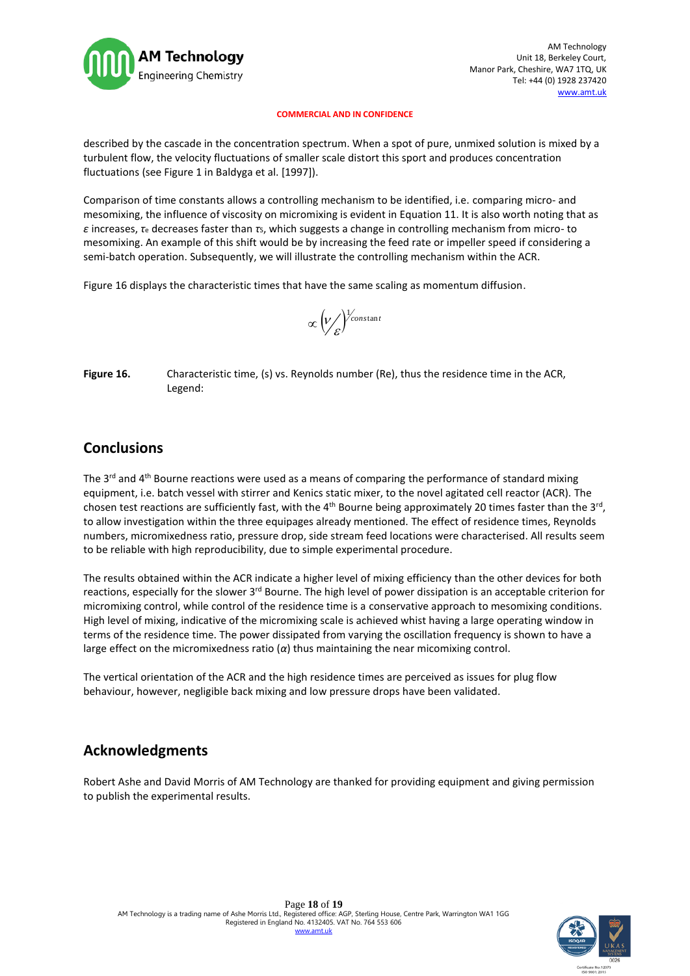

described by the cascade in the concentration spectrum. When a spot of pure, unmixed solution is mixed by a turbulent flow, the velocity fluctuations of smaller scale distort this sport and produces concentration fluctuations (see Figure 1 in Baldyga et al. [1997]).

Comparison of time constants allows a controlling mechanism to be identified, i.e. comparing micro- and mesomixing, the influence of viscosity on micromixing is evident in Equation 11. It is also worth noting that as *ε* increases, *τ*<sup>e</sup> decreases faster than *τ*S, which suggests a change in controlling mechanism from micro- to mesomixing. An example of this shift would be by increasing the feed rate or impeller speed if considering a semi-batch operation. Subsequently, we will illustrate the controlling mechanism within the ACR.

Figure 16 displays the characteristic times that have the same scaling as momentum diffusion.

$$
\propto \left(\frac{V}{\varepsilon}\right)^{1/2}
$$

**Figure 16.** Characteristic time, (s) vs. Reynolds number (Re), thus the residence time in the ACR, Legend:

# **Conclusions**

The  $3<sup>rd</sup>$  and  $4<sup>th</sup>$  Bourne reactions were used as a means of comparing the performance of standard mixing equipment, i.e. batch vessel with stirrer and Kenics static mixer, to the novel agitated cell reactor (ACR). The chosen test reactions are sufficiently fast, with the  $4^{th}$  Bourne being approximately 20 times faster than the 3<sup>rd</sup>, to allow investigation within the three equipages already mentioned. The effect of residence times, Reynolds numbers, micromixedness ratio, pressure drop, side stream feed locations were characterised. All results seem to be reliable with high reproducibility, due to simple experimental procedure.

The results obtained within the ACR indicate a higher level of mixing efficiency than the other devices for both reactions, especially for the slower 3<sup>rd</sup> Bourne. The high level of power dissipation is an acceptable criterion for micromixing control, while control of the residence time is a conservative approach to mesomixing conditions. High level of mixing, indicative of the micromixing scale is achieved whist having a large operating window in terms of the residence time. The power dissipated from varying the oscillation frequency is shown to have a large effect on the micromixedness ratio (*α*) thus maintaining the near micomixing control.

The vertical orientation of the ACR and the high residence times are perceived as issues for plug flow behaviour, however, negligible back mixing and low pressure drops have been validated.

# **Acknowledgments**

Robert Ashe and David Morris of AM Technology are thanked for providing equipment and giving permission to publish the experimental results.